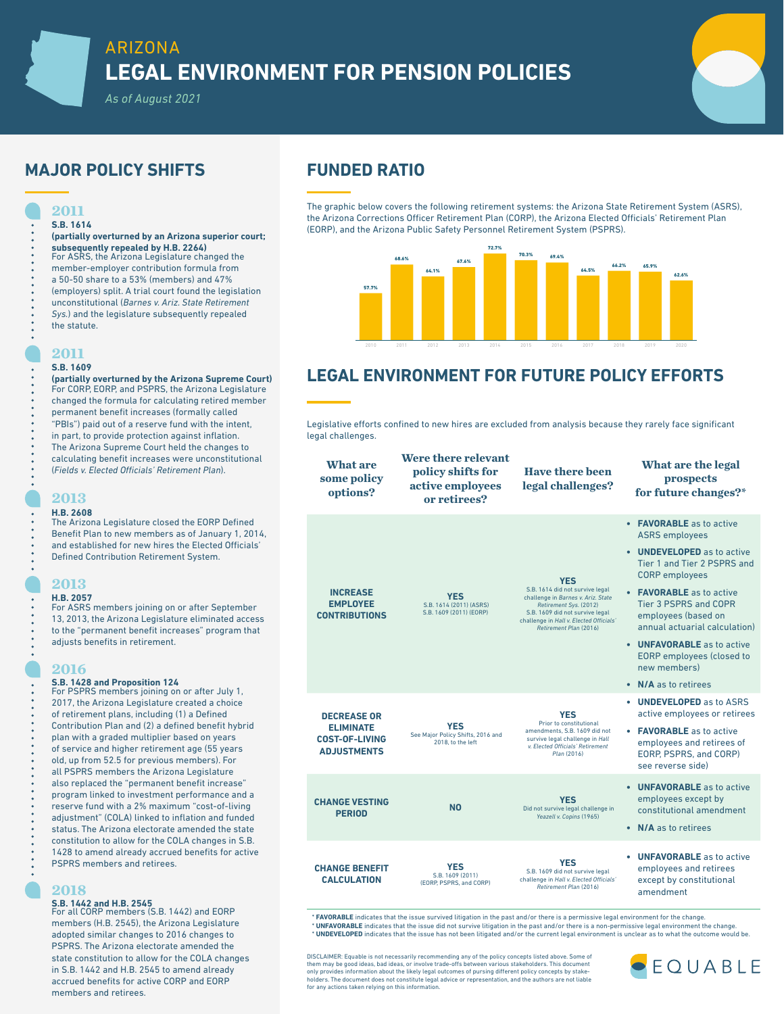# ARIZONA **LEGAL ENVIRONMENT FOR PENSION POLICIES**

*As of August 2021*

# **MAJOR POLICY SHIFTS FUNDED RATIO**

### **2011 S.B. 1614**

#### **(partially overturned by an Arizona superior court; subsequently repealed by H.B. 2264)**

- For ASRS, the Arizona Legislature changed the member-employer contribution formula from a 50-50 share to a 53% (members) and 47% (employers) split. A trial court found the legislation unconstitutional (*Barnes v. Ariz. State Retirement Sys.*) and the legislature subsequently repealed
- the statute.

### **2011**

### **S.B. 1609**

**(partially overturned by the Arizona Supreme Court)** For CORP, EORP, and PSPRS, the Arizona Legislature changed the formula for calculating retired member permanent benefit increases (formally called "PBIs") paid out of a reserve fund with the intent, in part, to provide protection against inflation. The Arizona Supreme Court held the changes to calculating benefit increases were unconstitutional (*Fields v. Elected Officials' Retirement Plan*). **What are** 

### **2013**

### **H.B. 2608**

The Arizona Legislature closed the EORP Defined Benefit Plan to new members as of January 1, 2014, and established for new hires the Elected Officials' Defined Contribution Retirement System.

### **2013**

**H.B. 2057** For ASRS members joining on or after September 13, 2013, the Arizona Legislature eliminated access to the "permanent benefit increases" program that adjusts benefits in retirement.

### **2016**

**S.B. 1428 and Proposition 124** For PSPRS members joining on or after July 1, 2017, the Arizona Legislature created a choice of retirement plans, including (1) a Defined Contribution Plan and (2) a defined benefit hybrid plan with a graded multiplier based on years of service and higher retirement age (55 years old, up from 52.5 for previous members). For all PSPRS members the Arizona Legislature also replaced the "permanent benefit increase" program linked to investment performance and a reserve fund with a 2% maximum "cost-of-living adjustment" (COLA) linked to inflation and funded status. The Arizona electorate amended the state constitution to allow for the COLA changes in S.B. 1428 to amend already accrued benefits for active PSPRS members and retirees.

### **2018**

**S.B. 1442 and H.B. 2545** For all CORP members (S.B. 1442) and EORP members (H.B. 2545), the Arizona Legislature adopted similar changes to 2016 changes to PSPRS. The Arizona electorate amended the state constitution to allow for the COLA changes in S.B. 1442 and H.B. 2545 to amend already accrued benefits for active CORP and EORP members and retirees.

The graphic below covers the following retirement systems: the Arizona State Retirement System (ASRS), the Arizona Corrections Officer Retirement Plan (CORP), the Arizona Elected Officials' Retirement Plan (EORP), and the Arizona Public Safety Personnel Retirement System (PSPRS).



# **LEGAL ENVIRONMENT FOR FUTURE POLICY EFFORTS**

Legislative efforts confined to new hires are excluded from analysis because they rarely face significant legal challenges.



\* **FAVORABLE** indicates that the issue survived litigation in the past and/or there is a permissive legal environment for the change. **UNFAVORABLE** indicates that the issue did not survive litigation in the past and/or there is a non-permissive legal environment the change \* **UNDEVELOPED** indicates that the issue has not been litigated and/or the current legal environment is unclear as to what the outcome would be.

DISCLAIMER: Equable is not necessarily recommending any of the policy concepts listed above. Some of them may be good ideas, bad ideas, or involve trade-offs between various stakeholders. This document only provides information about the likely legal outcomes of pursing different policy concepts by stakeholders. The document does not constitute legal advice or representation, and the authors are not liable to representation, and the authors are not liable. for any actions taken relying on this information.